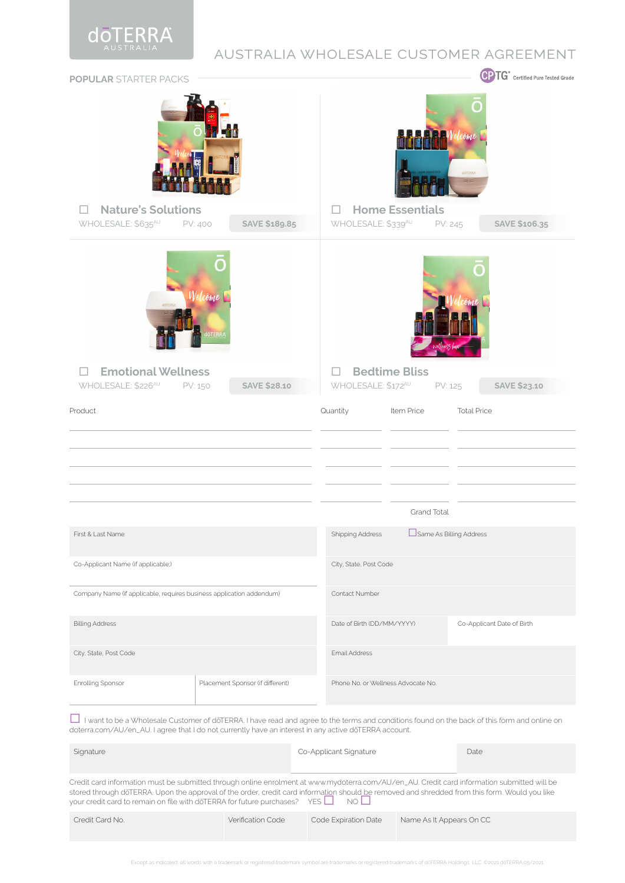

## australia wholesale customer agreement

| <b>POPULAR STARTER PACKS</b>                                                                                                                                                                                                                                                                                                                                                |                       |                                  |  |                                     |                        |                               | СP<br>$TG^*$ Certified Pure Tested Grade |  |
|-----------------------------------------------------------------------------------------------------------------------------------------------------------------------------------------------------------------------------------------------------------------------------------------------------------------------------------------------------------------------------|-----------------------|----------------------------------|--|-------------------------------------|------------------------|-------------------------------|------------------------------------------|--|
| <b>Nature's Solutions</b><br>$\mathbb{R}^n$<br>WHOLESALE: \$635 <sup>AU</sup> PV: 400                                                                                                                                                                                                                                                                                       |                       | SAVE \$189.85                    |  | ш<br>WHOLESALE: \$339 <sup>AU</sup> | <b>Home Essentials</b> | döTERRA<br>$\circ$<br>PV: 245 | SAVE \$106.35                            |  |
|                                                                                                                                                                                                                                                                                                                                                                             |                       |                                  |  |                                     |                        |                               |                                          |  |
| <b>Emotional Wellness</b><br>WHOLESALE: \$226 <sup>AU</sup><br>PV: 150                                                                                                                                                                                                                                                                                                      | come<br><b>JÖTERF</b> | <b>SAVE \$28.10</b>              |  | $\mathbf{L}$<br>WHOLESALE: \$172AU  | <b>Bedtime Bliss</b>   | PV: 125                       | <b>SAVE \$23.10</b>                      |  |
| Product                                                                                                                                                                                                                                                                                                                                                                     |                       |                                  |  | Quantity                            | Item Price             |                               | <b>Total Price</b>                       |  |
|                                                                                                                                                                                                                                                                                                                                                                             |                       |                                  |  |                                     |                        |                               |                                          |  |
|                                                                                                                                                                                                                                                                                                                                                                             |                       |                                  |  |                                     |                        |                               |                                          |  |
|                                                                                                                                                                                                                                                                                                                                                                             |                       |                                  |  |                                     |                        |                               |                                          |  |
|                                                                                                                                                                                                                                                                                                                                                                             |                       |                                  |  | Grand Total                         |                        |                               |                                          |  |
| First & Last Name                                                                                                                                                                                                                                                                                                                                                           |                       |                                  |  | <b>Shipping Address</b>             |                        | Same As Billing Address       |                                          |  |
| Co-Applicant Name (if applicable;)                                                                                                                                                                                                                                                                                                                                          |                       |                                  |  | City, State, Post Code              |                        |                               |                                          |  |
| Company Name (if applicable, requires business application addendum)                                                                                                                                                                                                                                                                                                        |                       |                                  |  | Contact Number                      |                        |                               |                                          |  |
| <b>Billing Address</b>                                                                                                                                                                                                                                                                                                                                                      |                       |                                  |  | Date of Birth (DD/MM/YYYY)          |                        |                               | Co-Applicant Date of Birth               |  |
| City, State, Post Code                                                                                                                                                                                                                                                                                                                                                      |                       |                                  |  | <b>Email Address</b>                |                        |                               |                                          |  |
| Enrolling Sponsor                                                                                                                                                                                                                                                                                                                                                           |                       | Placement Sponsor (if different) |  | Phone No. or Wellness Advocate No.  |                        |                               |                                          |  |
| I want to be a Wholesale Customer of doTERRA. I have read and agree to the terms and conditions found on the back of this form and online on<br>doterra.com/AU/en_AU. I agree that I do not currently have an interest in any active doTERRA account.                                                                                                                       |                       |                                  |  |                                     |                        |                               |                                          |  |
| Signature                                                                                                                                                                                                                                                                                                                                                                   |                       |                                  |  | Co-Applicant Signature              |                        |                               | Date                                     |  |
| Credit card information must be submitted through online enrolment at www.mydoterra.com/AU/en_AU. Credit card information submitted will be<br>stored through doTERRA. Upon the approval of the order, credit card information should be removed and shredded from this form. Would you like<br>your credit card to remain on file with doTERRA for future purchases? $YES$ |                       |                                  |  | $NO$ $\Box$                         |                        |                               |                                          |  |

| Credit Card No.<br><b>Verification Code</b><br>Code Expiration Date<br>Name As It Appears On CC |
|-------------------------------------------------------------------------------------------------|
|-------------------------------------------------------------------------------------------------|